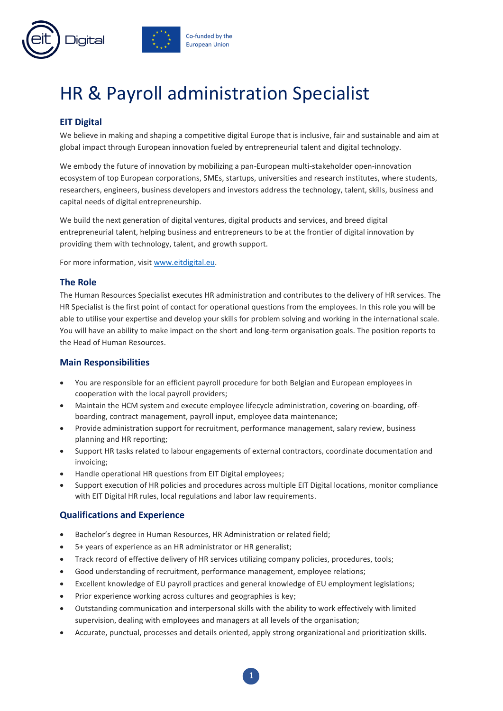

# HR & Payroll administration Specialist

## **EIT Digital**

We believe in making and shaping a competitive digital Europe that is inclusive, fair and sustainable and aim at global impact through European innovation fueled by entrepreneurial talent and digital technology.

We embody the future of innovation by mobilizing a pan-European multi-stakeholder open-innovation ecosystem of top European corporations, SMEs, startups, universities and research institutes, where students, researchers, engineers, business developers and investors address the technology, talent, skills, business and capital needs of digital entrepreneurship.

We build the next generation of digital ventures, digital products and services, and breed digital entrepreneurial talent, helping business and entrepreneurs to be at the frontier of digital innovation by providing them with technology, talent, and growth support.

For more information, visit [www.eitdigital.eu.](http://www.eitdigital.eu/)

#### **The Role**

The Human Resources Specialist executes HR administration and contributes to the delivery of HR services. The HR Specialist is the first point of contact for operational questions from the employees. In this role you will be able to utilise your expertise and develop your skills for problem solving and working in the international scale. You will have an ability to make impact on the short and long-term organisation goals. The position reports to the Head of Human Resources.

#### **Main Responsibilities**

- You are responsible for an efficient payroll procedure for both Belgian and European employees in cooperation with the local payroll providers;
- Maintain the HCM system and execute employee lifecycle administration, covering on-boarding, offboarding, contract management, payroll input, employee data maintenance;
- Provide administration support for recruitment, performance management, salary review, business planning and HR reporting;
- Support HR tasks related to labour engagements of external contractors, coordinate documentation and invoicing;
- Handle operational HR questions from EIT Digital employees;
- Support execution of HR policies and procedures across multiple EIT Digital locations, monitor compliance with EIT Digital HR rules, local regulations and labor law requirements.

### **Qualifications and Experience**

- Bachelor's degree in Human Resources, HR Administration or related field;
- 5+ years of experience as an HR administrator or HR generalist;
- Track record of effective delivery of HR services utilizing company policies, procedures, tools;
- Good understanding of recruitment, performance management, employee relations;
- Excellent knowledge of EU payroll practices and general knowledge of EU employment legislations;
- Prior experience working across cultures and geographies is key;
- Outstanding communication and interpersonal skills with the ability to work effectively with limited supervision, dealing with employees and managers at all levels of the organisation;
- Accurate, punctual, processes and details oriented, apply strong organizational and prioritization skills.